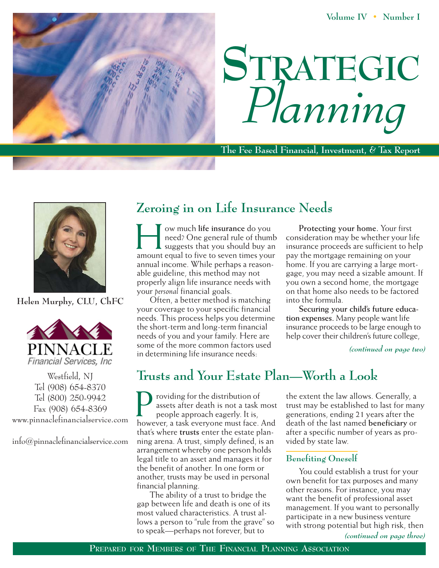**Volume IV • Number I**





**The Fee Based Financial, Investment, & Tax Report**



**Helen Murphy, CLU, ChFC**



Westfield, NJ Tel (908) 654-8370 Tel (800) 250-9942 Fax (908) 654-8369 www.pinnaclefinancialservice.com

info@pinnaclefinancialservice.com

## **Zeroing in on Life Insurance Needs**

w much life insurance do you<br>
need? One general rule of thumb<br>
suggests that you should buy an<br>
amount equal to five to seven times your ow much **life insurance** do you need? One general rule of thumb  $\blacksquare$  suggests that you should buy an annual income. While perhaps a reasonable guideline, this method may not properly align life insurance needs with your *personal* financial goals.

Often, a better method is matching your coverage to your specific financial needs. This process helps you determine the short-term and long-term financial needs of you and your family. Here are some of the more common factors used in determining life insurance needs:

**Protecting your home.** Your first consideration may be whether your life insurance proceeds are sufficient to help pay the mortgage remaining on your home. If you are carrying a large mortgage, you may need a sizable amount. If you own a second home, the mortgage on that home also needs to be factored into the formula.

**Securing your child's future education expenses.** Many people want life insurance proceeds to be large enough to help cover their children's future college,

*(continued on page two)*

# **Trusts and Your Estate Plan—Worth a Look**

**P** roviding for the distribution of assets after death is not a task most people approach eagerly. It is, however, a task everyone must face. And roviding for the distribution of assets after death is not a task most people approach eagerly. It is, that's where **trusts** enter the estate planning arena. A trust, simply defined, is an arrangement whereby one person holds legal title to an asset and manages it for the benefit of another. In one form or another, trusts may be used in personal financial planning.

The ability of a trust to bridge the gap between life and death is one of its most valued characteristics. A trust allows a person to "rule from the grave" so to speak—perhaps not forever, but to

the extent the law allows. Generally, a trust may be established to last for many generations, ending 21 years after the death of the last named **beneficiary** or after a specific number of years as provided by state law.

#### **Benefiting Oneself**

You could establish a trust for your own benefit for tax purposes and many other reasons. For instance, you may want the benefit of professional asset management. If you want to personally participate in a new business venture with strong potential but high risk, then

*(continued on page three)*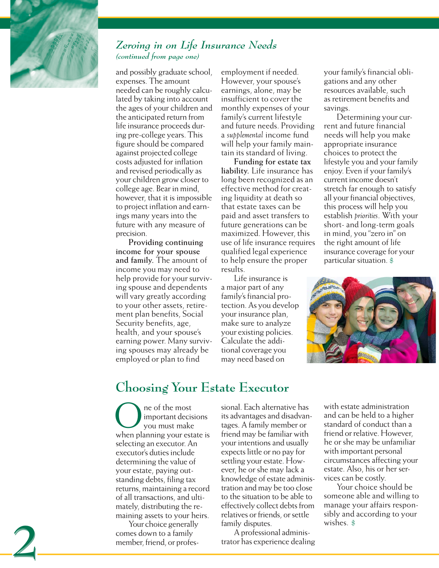

**2**

#### *Zeroing in on Life Insurance Needs (continued from page one)*

and possibly graduate school, expenses. The amount needed can be roughly calculated by taking into account the ages of your children and the anticipated return from life insurance proceeds during pre-college years. This figure should be compared against projected college costs adjusted for inflation and revised periodically as your children grow closer to college age. Bear in mind, however, that it is impossible to project inflation and earnings many years into the future with any measure of precision.

**Providing continuing income for your spouse and family.** The amount of income you may need to help provide for your surviving spouse and dependents will vary greatly according to your other assets, retirement plan benefits, Social Security benefits, age, health, and your spouse's earning power. Many surviving spouses may already be employed or plan to find

employment if needed. However, your spouse's earnings, alone, may be insufficient to cover the monthly expenses of your family's current lifestyle and future needs. Providing a *supplemental* income fund will help your family maintain its standard of living.

**Funding for estate tax liability.** Life insurance has long been recognized as an effective method for creating liquidity at death so that estate taxes can be paid and asset transfers to future generations can be maximized. However, this use of life insurance requires qualified legal experience to help ensure the proper results.

Life insurance is a major part of any family's financial protection. As you develop your insurance plan, make sure to analyze your existing policies. Calculate the additional coverage you may need based on

your family's financial obligations and any other resources available, such as retirement benefits and savings.

Determining your current and future financial needs will help you make appropriate insurance choices to protect the lifestyle you and your family enjoy. Even if your family's current income doesn't stretch far enough to satisfy all your financial objectives, this process will help you establish *priorities*. With your short- and long-term goals in mind, you "zero in" on the right amount of life insurance coverage for your particular situation. \$



### **Choosing Your Estate Executor**

ne of the most important decisions you must make **O** ne of the most<br>you must make<br>when planning your estate is selecting an executor. An executor's duties include determining the value of your estate, paying outstanding debts, filing tax returns, maintaining a record of all transactions, and ultimately, distributing the remaining assets to your heirs.

Your choice generally comes down to a family member, friend, or professional. Each alternative has its advantages and disadvantages. A family member or friend may be familiar with your intentions and usually expects little or no pay for settling your estate. However, he or she may lack a knowledge of estate administration and may be too close to the situation to be able to effectively collect debts from relatives or friends, or settle family disputes.

A professional administrator has experience dealing

with estate administration and can be held to a higher standard of conduct than a friend or relative. However, he or she may be unfamiliar with important personal circumstances affecting your estate. Also, his or her services can be costly.

Your choice should be someone able and willing to manage your affairs responsibly and according to your wishes. \$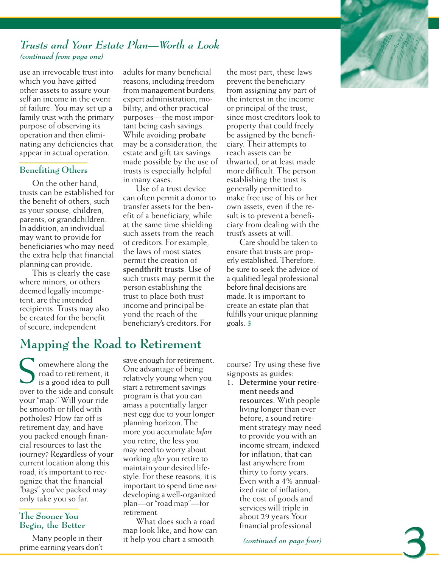

**3**

#### *Trusts and Your Estate Plan—Worth a Look (continued from page one)*

use an irrevocable trust into which you have gifted other assets to assure yourself an income in the event of failure. You may set up a family trust with the primary purpose of observing its operation and then eliminating any deficiencies that appear in actual operation.

#### **Benefiting Others**

On the other hand, trusts can be established for the benefit of others, such as your spouse, children, parents, or grandchildren. In addition, an individual may want to provide for beneficiaries who may need the extra help that financial planning can provide.

This is clearly the case where minors, or others deemed legally incompetent, are the intended recipients. Trusts may also be created for the benefit of secure, independent

adults for many beneficial reasons, including freedom from management burdens, expert administration, mobility, and other practical purposes—the most important being cash savings. While avoiding **probate** may be a consideration, the estate and gift tax savings made possible by the use of trusts is especially helpful in many cases.

Use of a trust device can often permit a donor to transfer assets for the benefit of a beneficiary, while at the same time shielding such assets from the reach of creditors. For example, the laws of most states permit the creation of **spendthrift trusts**. Use of such trusts may permit the person establishing the trust to place both trust income and principal beyond the reach of the beneficiary's creditors. For

the most part, these laws prevent the beneficiary from assigning any part of the interest in the income or principal of the trust, since most creditors look to property that could freely be assigned by the beneficiary. Their attempts to reach assets can be thwarted, or at least made more difficult. The person establishing the trust is generally permitted to make free use of his or her own assets, even if the result is to prevent a beneficiary from dealing with the trust's assets at will.

Care should be taken to ensure that trusts are properly established. Therefore, be sure to seek the advice of a qualified legal professional before final decisions are made. It is important to create an estate plan that fulfills your unique planning goals. \$

# **Mapping the Road to Retirement**

omewhere along the road to retirement, it is a good idea to pull over to the side and consult your "map." Will your ride be smooth or filled with potholes? How far off is retirement day, and have you packed enough financial resources to last the journey? Regardless of your current location along this road, it's important to recognize that the financial "bags" you've packed may only take you so far. S

#### **The Sooner You Begin, the Better**

Many people in their prime earning years don't

save enough for retirement. One advantage of being relatively young when you start a retirement savings program is that you can amass a potentially larger nest egg due to your longer planning horizon. The more you accumulate *before* you retire, the less you may need to worry about working *after* you retire to maintain your desired lifestyle. For these reasons, it is important to spend time *now* developing a well-organized plan—or "road map"—for retirement.

What does such a road map look like, and how can it help you chart a smooth

course? Try using these five signposts as guides:

**1. Determine your retirement needs and resources.** With people living longer than ever before, a sound retirement strategy may need to provide you with an income stream, indexed for inflation, that can last anywhere from thirty to forty years. Even with a 4% annualized rate of inflation, the cost of goods and services will triple in about 29 years.Your financial professional

*(continued on page four)*